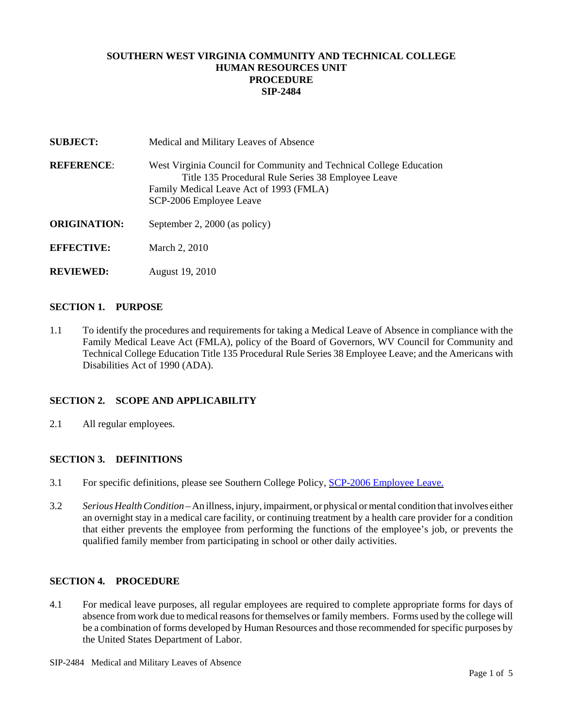# **SOUTHERN WEST VIRGINIA COMMUNITY AND TECHNICAL COLLEGE HUMAN RESOURCES UNIT PROCEDURE SIP-2484**

| <b>SUBJECT:</b>     | Medical and Military Leaves of Absence                                                                                                                                                          |  |
|---------------------|-------------------------------------------------------------------------------------------------------------------------------------------------------------------------------------------------|--|
| <b>REFERENCE:</b>   | West Virginia Council for Community and Technical College Education<br>Title 135 Procedural Rule Series 38 Employee Leave<br>Family Medical Leave Act of 1993 (FMLA)<br>SCP-2006 Employee Leave |  |
| <b>ORIGINATION:</b> | September 2, 2000 (as policy)                                                                                                                                                                   |  |
| <b>EFFECTIVE:</b>   | March 2, 2010                                                                                                                                                                                   |  |
| <b>REVIEWED:</b>    | August 19, 2010                                                                                                                                                                                 |  |

#### **SECTION 1. PURPOSE**

1.1 To identify the procedures and requirements for taking a Medical Leave of Absence in compliance with the Family Medical Leave Act (FMLA), policy of the Board of Governors, WV Council for Community and Technical College Education Title 135 Procedural Rule Series 38 Employee Leave; and the Americans with Disabilities Act of 1990 (ADA).

### **SECTION 2. SCOPE AND APPLICABILITY**

2.1 All regular employees.

### **SECTION 3. DEFINITIONS**

- 3.1 For specific definitions, please see Southern College Policy, SCP-2006 Employee Leave.
- 3.2 *Serious Health Condition* An illness, injury, impairment, or physical or mental condition that involves either an overnight stay in a medical care facility, or continuing treatment by a health care provider for a condition that either prevents the employee from performing the functions of the employee's job, or prevents the qualified family member from participating in school or other daily activities.

### **SECTION 4. PROCEDURE**

4.1 For medical leave purposes, all regular employees are required to complete appropriate forms for days of absence from work due to medical reasons for themselves or family members. Forms used by the college will be a combination of forms developed by Human Resources and those recommended for specific purposes by the United States Department of Labor.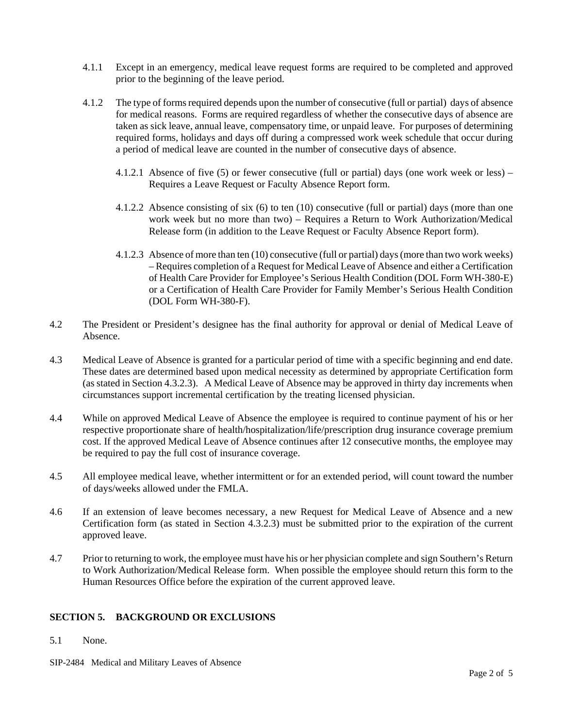- 4.1.1 Except in an emergency, medical leave request forms are required to be completed and approved prior to the beginning of the leave period.
- 4.1.2 The type of forms required depends upon the number of consecutive (full or partial) days of absence for medical reasons. Forms are required regardless of whether the consecutive days of absence are taken as sick leave, annual leave, compensatory time, or unpaid leave. For purposes of determining required forms, holidays and days off during a compressed work week schedule that occur during a period of medical leave are counted in the number of consecutive days of absence.
	- 4.1.2.1 Absence of five (5) or fewer consecutive (full or partial) days (one work week or less) Requires a Leave Request or Faculty Absence Report form.
	- 4.1.2.2 Absence consisting of six (6) to ten (10) consecutive (full or partial) days (more than one work week but no more than two) – Requires a Return to Work Authorization/Medical Release form (in addition to the Leave Request or Faculty Absence Report form).
	- 4.1.2.3 Absence of more than ten (10) consecutive (full or partial) days (more than two work weeks) – Requires completion of a Request for Medical Leave of Absence and either a Certification of Health Care Provider for Employee's Serious Health Condition (DOL Form WH-380-E) or a Certification of Health Care Provider for Family Member's Serious Health Condition (DOL Form WH-380-F).
- 4.2 The President or President's designee has the final authority for approval or denial of Medical Leave of Absence.
- 4.3 Medical Leave of Absence is granted for a particular period of time with a specific beginning and end date. These dates are determined based upon medical necessity as determined by appropriate Certification form (as stated in Section 4.3.2.3). A Medical Leave of Absence may be approved in thirty day increments when circumstances support incremental certification by the treating licensed physician.
- 4.4 While on approved Medical Leave of Absence the employee is required to continue payment of his or her respective proportionate share of health/hospitalization/life/prescription drug insurance coverage premium cost. If the approved Medical Leave of Absence continues after 12 consecutive months, the employee may be required to pay the full cost of insurance coverage.
- 4.5 All employee medical leave, whether intermittent or for an extended period, will count toward the number of days/weeks allowed under the FMLA.
- 4.6 If an extension of leave becomes necessary, a new Request for Medical Leave of Absence and a new Certification form (as stated in Section 4.3.2.3) must be submitted prior to the expiration of the current approved leave.
- 4.7 Prior to returning to work, the employee must have his or her physician complete and sign Southern's Return to Work Authorization/Medical Release form. When possible the employee should return this form to the Human Resources Office before the expiration of the current approved leave.

# **SECTION 5. BACKGROUND OR EXCLUSIONS**

- 5.1 None.
- SIP-2484 Medical and Military Leaves of Absence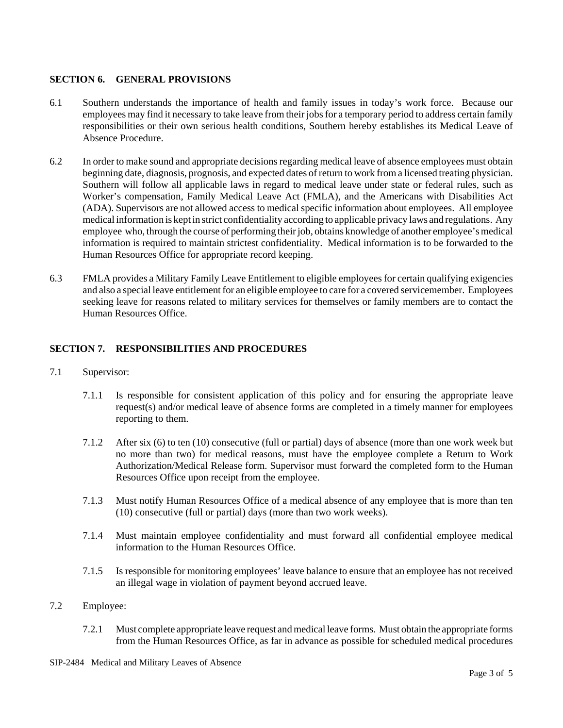### **SECTION 6. GENERAL PROVISIONS**

- 6.1 Southern understands the importance of health and family issues in today's work force. Because our employees may find it necessary to take leave from their jobs for a temporary period to address certain family responsibilities or their own serious health conditions, Southern hereby establishes its Medical Leave of Absence Procedure.
- 6.2 In order to make sound and appropriate decisions regarding medical leave of absence employees must obtain beginning date, diagnosis, prognosis, and expected dates of return to work from a licensed treating physician. Southern will follow all applicable laws in regard to medical leave under state or federal rules, such as Worker's compensation, Family Medical Leave Act (FMLA), and the Americans with Disabilities Act (ADA). Supervisors are not allowed access to medical specific information about employees. All employee medical information is kept in strict confidentiality according to applicable privacy laws and regulations. Any employee who, through the course of performing their job, obtains knowledge of another employee's medical information is required to maintain strictest confidentiality. Medical information is to be forwarded to the Human Resources Office for appropriate record keeping.
- 6.3 FMLA provides a Military Family Leave Entitlement to eligible employees for certain qualifying exigencies and also a special leave entitlement for an eligible employee to care for a covered servicemember. Employees seeking leave for reasons related to military services for themselves or family members are to contact the Human Resources Office.

# **SECTION 7. RESPONSIBILITIES AND PROCEDURES**

- 7.1 Supervisor:
	- 7.1.1 Is responsible for consistent application of this policy and for ensuring the appropriate leave request(s) and/or medical leave of absence forms are completed in a timely manner for employees reporting to them.
	- 7.1.2 After six (6) to ten (10) consecutive (full or partial) days of absence (more than one work week but no more than two) for medical reasons, must have the employee complete a Return to Work Authorization/Medical Release form. Supervisor must forward the completed form to the Human Resources Office upon receipt from the employee.
	- 7.1.3 Must notify Human Resources Office of a medical absence of any employee that is more than ten (10) consecutive (full or partial) days (more than two work weeks).
	- 7.1.4 Must maintain employee confidentiality and must forward all confidential employee medical information to the Human Resources Office.
	- 7.1.5 Is responsible for monitoring employees' leave balance to ensure that an employee has not received an illegal wage in violation of payment beyond accrued leave.
- 7.2 Employee:
	- 7.2.1 Must complete appropriate leave request and medical leave forms. Must obtain the appropriate forms from the Human Resources Office, as far in advance as possible for scheduled medical procedures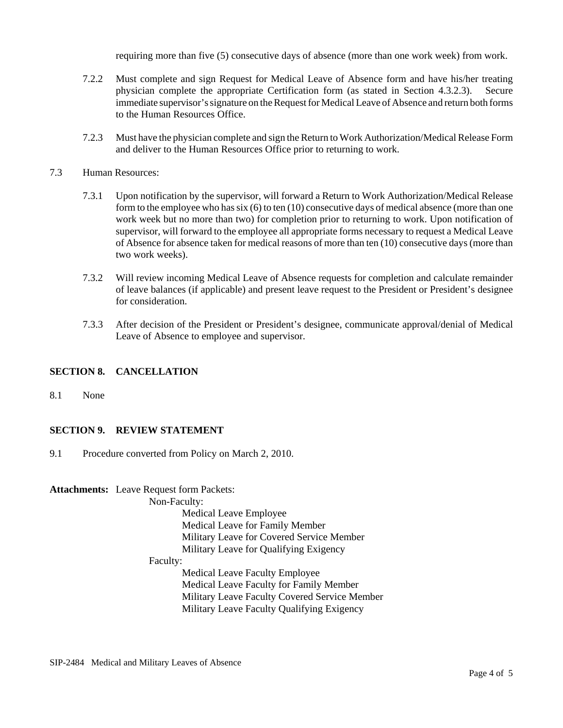requiring more than five (5) consecutive days of absence (more than one work week) from work.

- 7.2.2 Must complete and sign Request for Medical Leave of Absence form and have his/her treating physician complete the appropriate Certification form (as stated in Section 4.3.2.3). Secure immediate supervisor's signature on the Request for Medical Leave of Absence and return both forms to the Human Resources Office.
- 7.2.3 Must have the physician complete and sign the Return to Work Authorization/Medical Release Form and deliver to the Human Resources Office prior to returning to work.
- 7.3 Human Resources:
	- 7.3.1 Upon notification by the supervisor, will forward a Return to Work Authorization/Medical Release form to the employee who has six (6) to ten (10) consecutive days of medical absence (more than one work week but no more than two) for completion prior to returning to work. Upon notification of supervisor, will forward to the employee all appropriate forms necessary to request a Medical Leave of Absence for absence taken for medical reasons of more than ten (10) consecutive days (more than two work weeks).
	- 7.3.2 Will review incoming Medical Leave of Absence requests for completion and calculate remainder of leave balances (if applicable) and present leave request to the President or President's designee for consideration.
	- 7.3.3 After decision of the President or President's designee, communicate approval/denial of Medical Leave of Absence to employee and supervisor.

### **SECTION 8. CANCELLATION**

8.1 None

# **SECTION 9. REVIEW STATEMENT**

9.1 Procedure converted from Policy on March 2, 2010.

**Attachments:** Leave Request form Packets:

Non-Faculty:

Medical Leave Employee Medical Leave for Family Member Military Leave for Covered Service Member Military Leave for Qualifying Exigency

Faculty:

Medical Leave Faculty Employee Medical Leave Faculty for Family Member Military Leave Faculty Covered Service Member Military Leave Faculty Qualifying Exigency